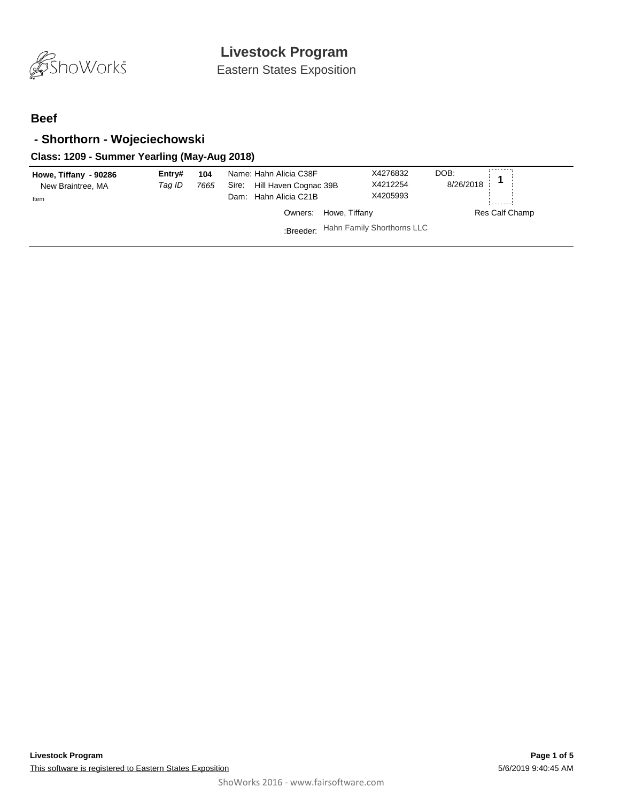

Eastern States Exposition

### **Beef**

### **- Shorthorn - Wojeciechowski**

### **Class: 1209 - Summer Yearling (May-Aug 2018)**

| Howe, Tiffany - 90286<br>New Braintree, MA<br>Item | Entry#<br>Taq ID | 104<br>7665 | Name: Hahn Alicia C38F<br>Hill Haven Cognac 39B<br>Sire:<br>Dam: Hahn Alicia C21B | X4276832<br>X4212254<br>X4205993 | DOB:<br>8/26/2018 |
|----------------------------------------------------|------------------|-------------|-----------------------------------------------------------------------------------|----------------------------------|-------------------|
|                                                    |                  |             | Owners: Howe, Tiffany                                                             |                                  | Res Calf Champ    |
|                                                    |                  |             | :Breeder: Hahn Family Shorthorns LLC                                              |                                  |                   |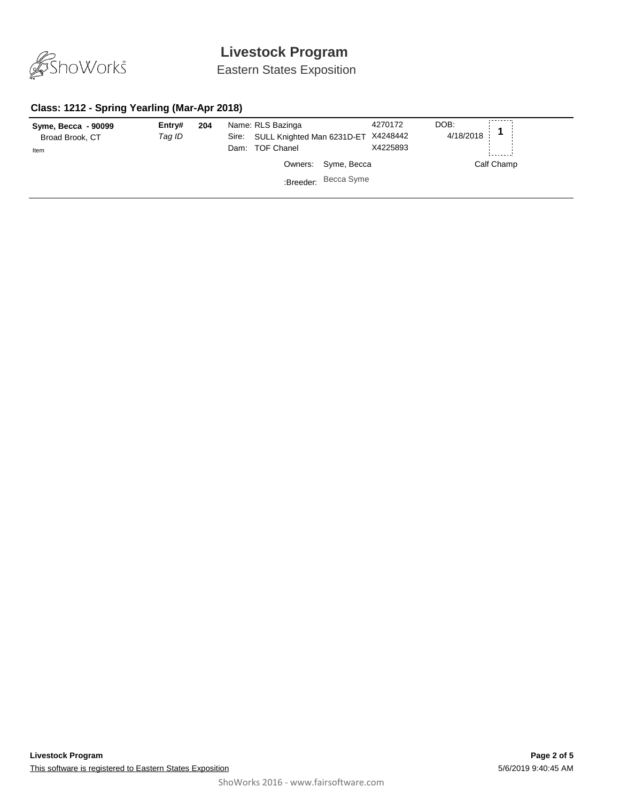

Eastern States Exposition

### **Class: 1212 - Spring Yearling (Mar-Apr 2018)**

| Syme, Becca - 90099<br>Broad Brook, CT<br>Item | Entry#<br>Tag ID | 204 | Name: RLS Bazinga<br>Sire:<br>Dam: TOF Chanel | SULL Knighted Man 6231D-ET X4248442 |                     | 4270172<br>X4225893 | DOB:<br>4/18/2018 |            |
|------------------------------------------------|------------------|-----|-----------------------------------------------|-------------------------------------|---------------------|---------------------|-------------------|------------|
|                                                |                  |     |                                               |                                     | Owners: Syme, Becca |                     |                   | Calf Champ |
|                                                |                  |     |                                               | :Breeder: Becca Syme                |                     |                     |                   |            |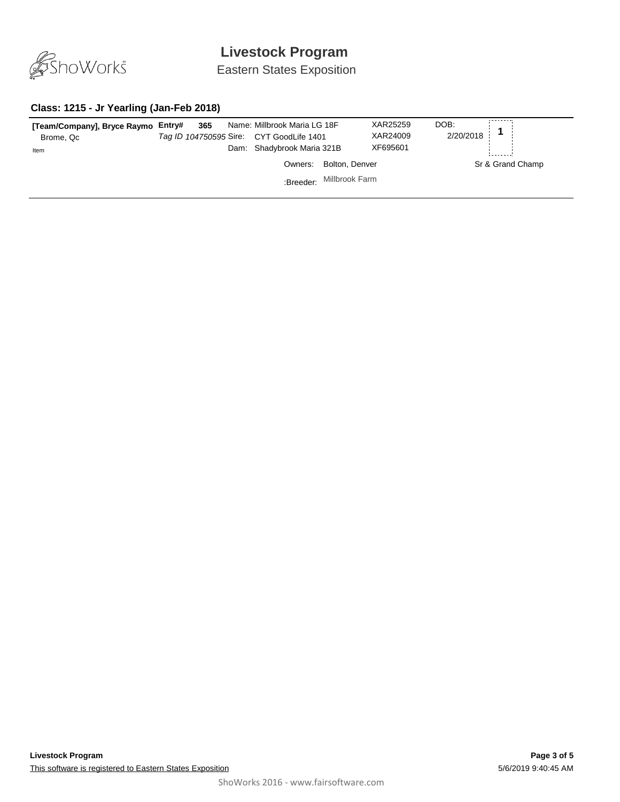

Eastern States Exposition

#### **Class: 1215 - Jr Yearling (Jan-Feb 2018)**

| [Team/Company], Bryce Raymo Entry#<br>Brome, Qc<br>Item | 365 | Name: Millbrook Maria LG 18F<br>Tag ID 104750595 Sire: CYT GoodLife 1401<br>Dam: Shadybrook Maria 321B |                          | DOB:<br>XAR25259<br>2/20/2018<br>XAR24009<br>XF695601 |  |                  |
|---------------------------------------------------------|-----|--------------------------------------------------------------------------------------------------------|--------------------------|-------------------------------------------------------|--|------------------|
|                                                         |     | Owners:                                                                                                | Bolton, Denver           |                                                       |  | Sr & Grand Champ |
|                                                         |     |                                                                                                        | :Breeder: Millbrook Farm |                                                       |  |                  |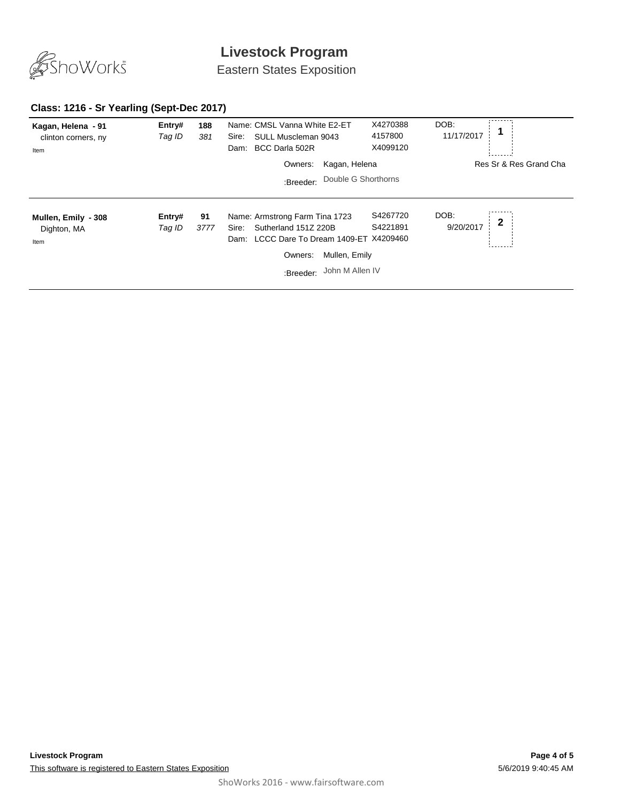

Eastern States Exposition

## **Class: 1216 - Sr Yearling (Sept-Dec 2017)**

| Kagan, Helena - 91<br>clinton corners, ny<br>Item | Entry#<br>Tag ID | 188<br>381 | Name: CMSL Vanna White E2-ET<br>SULL Muscleman 9043<br>Sire:<br>BCC Darla 502R<br>Dam:                                                                                     | X4270388<br>4157800<br>X4099120 | DOB:<br>11/17/2017               |
|---------------------------------------------------|------------------|------------|----------------------------------------------------------------------------------------------------------------------------------------------------------------------------|---------------------------------|----------------------------------|
|                                                   |                  |            | Kagan, Helena<br>Owners:                                                                                                                                                   |                                 | Res Sr & Res Grand Cha           |
|                                                   |                  |            | Double G Shorthorns<br>:Breeder:                                                                                                                                           |                                 |                                  |
| Mullen, Emily - 308<br>Dighton, MA<br>Item        | Entry#<br>Tag ID | 91<br>3777 | Name: Armstrong Farm Tina 1723<br>Sutherland 151Z 220B<br>Sire:<br>LCCC Dare To Dream 1409-ET X4209460<br>Dam:<br>Mullen, Emily<br>Owners:<br>John M Allen IV<br>:Breeder: | S4267720<br>S4221891            | DOB:<br>$\mathbf 2$<br>9/20/2017 |